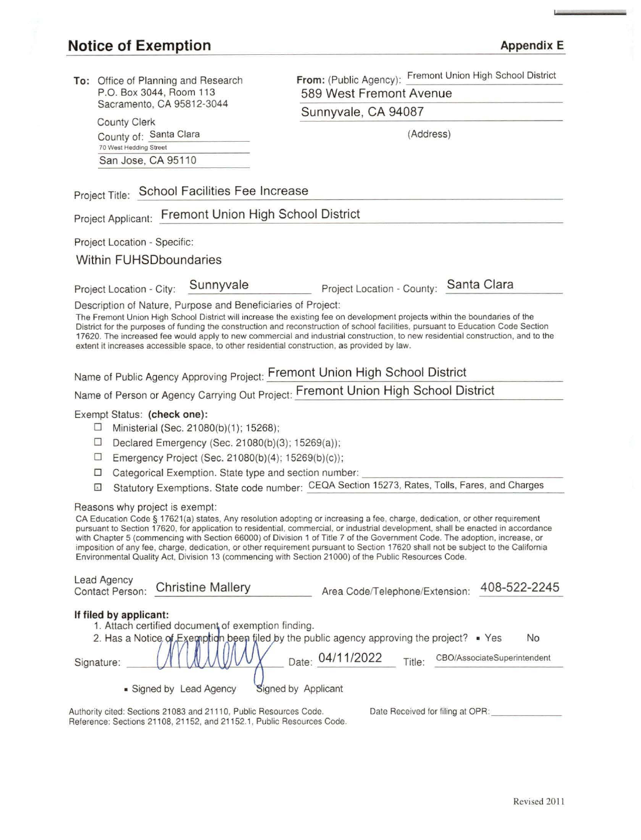### **Notice of Exemption Appendix E Appendix E**

County Clerk

70 West Hedding Street San Jose, CA 95110

**To:** Office of Planning and Research P.O. Box 3044, Room 113 Sacramento, CA 95812-3044

**From:** (Public Agency): Fremont Union High School District 589 West Fremont Avenue

Sunnyvale, CA 94087

County of: Santa Clara (Address)

# Project Title: School Facilities Fee Increase

Project Applicant: Fremont Union High School District

Project Location - Specific:

#### Within FUHSDboundaries

Project Location - City: Sunnyvale Project Location - County: Santa Clara

Description of Nature, Purpose and Beneficiaries of Project:

The Fremont Union High School District will increase the existing fee on development projects within the boundaries of the District for the purposes of funding the construction and reconstruction of school facilities, pursuant to Education Code Section 17620. The increased fee would apply to new commercial and industrial construction, to new residential construction, and to the extent it increases accessible space, to other residential construction, as provided by law.

Name of Public Agency Approving Project: Fremont Union High School District

Name of Person or Agency carrying Out Project: Fremont Union High School District

#### Exempt Status: **(check one):**

- $\Box$  Ministerial (Sec. 21080(b)(1); 15268);
- $\Box$  Declared Emergency (Sec. 21080(b)(3); 15269(a));
- $\Box$  Emergency Project (Sec. 21080(b)(4); 15269(b)(c));

Reference: Sections 21108, 21152, and 21152.1, Public Resources Code.

- $\square$  Categorical Exemption. State type and section number:
- El Statutory Exemptions. State code number: CEQA Section 15273, Rates, Tolls, Fares, and Charges

#### Reasons why project is exempt:

CA Education Code§ 17621(a) states, Any resolution adopting or increasing a fee, charge, dedication, or other requirement pursuant to Section 17620, for application to residential, commercial, or industrial development. shall be enacted in accordance with Chapter 5 (commencing with Section 66000) of Division 1 of Title 7 of the Government Code. The adoption, increase, or imposition of any fee, charge, dedication, or other requirement pursuant to Section 17620 shall not be subject to the California Environmental Quality Act, Division 13 (commencing with Section 21000) of the Public Resources Code.

| Lead Agency<br><b>Contact Person:</b> | <b>Christine Mallery</b>                                                                                                                        | Area Code/Telephone/Extension:   |  | 408-522-2245                      |
|---------------------------------------|-------------------------------------------------------------------------------------------------------------------------------------------------|----------------------------------|--|-----------------------------------|
| If filed by applicant:<br>Signature:  | 1. Attach certified document of exemption finding.<br>2. Has a Notice of Exemption been filed by the public agency approving the project? • Yes | Date: 04/11/2022<br>Title:       |  | No<br>CBO/AssociateSuperintendent |
| • Signed by                           | Signed by Applicant<br><b>Lead Agency</b>                                                                                                       |                                  |  |                                   |
|                                       | Authority cited: Sections 21083 and 21110, Public Resources Code.                                                                               | Date Received for filing at OPR: |  |                                   |